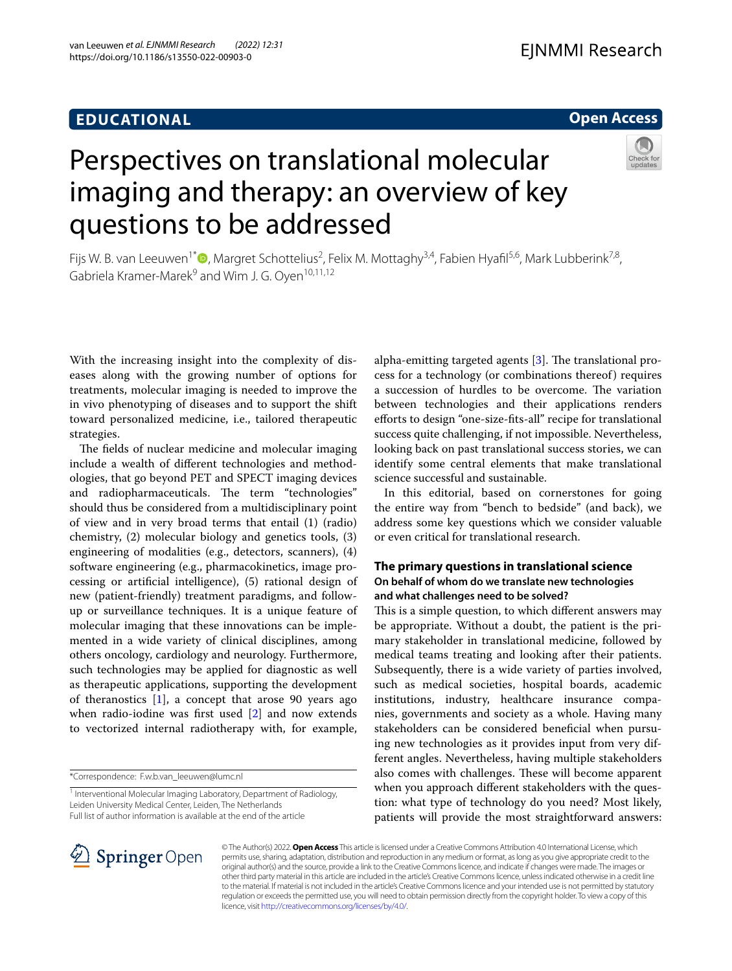# **EDUCATIONAL**

# **Open Access**



# Perspectives on translational molecular imaging and therapy: an overview of key questions to be addressed

Fijs W. B. van Leeuwen<sup>1\*</sup><sup>®</sup>[,](http://orcid.org/0000-0002-6844-4025) Margret Schottelius<sup>2</sup>, Felix M. Mottaghy<sup>3,4</sup>, Fabien Hyafil<sup>5,6</sup>, Mark Lubberink<sup>7,8</sup>, Gabriela Kramer-Marek<sup>9</sup> and Wim J. G. Oven<sup>10,11,12</sup>

With the increasing insight into the complexity of diseases along with the growing number of options for treatments, molecular imaging is needed to improve the in vivo phenotyping of diseases and to support the shift toward personalized medicine, i.e., tailored therapeutic strategies.

The fields of nuclear medicine and molecular imaging include a wealth of diferent technologies and methodologies, that go beyond PET and SPECT imaging devices and radiopharmaceuticals. The term "technologies" should thus be considered from a multidisciplinary point of view and in very broad terms that entail (1) (radio) chemistry, (2) molecular biology and genetics tools, (3) engineering of modalities (e.g., detectors, scanners), (4) software engineering (e.g., pharmacokinetics, image processing or artifcial intelligence), (5) rational design of new (patient-friendly) treatment paradigms, and followup or surveillance techniques. It is a unique feature of molecular imaging that these innovations can be implemented in a wide variety of clinical disciplines, among others oncology, cardiology and neurology. Furthermore, such technologies may be applied for diagnostic as well as therapeutic applications, supporting the development of theranostics [\[1](#page-3-0)], a concept that arose 90 years ago when radio-iodine was frst used [\[2](#page-3-1)] and now extends to vectorized internal radiotherapy with, for example,

\*Correspondence: F.w.b.van\_leeuwen@lumc.nl

alpha-emitting targeted agents  $[3]$ . The translational process for a technology (or combinations thereof) requires a succession of hurdles to be overcome. The variation between technologies and their applications renders eforts to design "one-size-fts-all" recipe for translational success quite challenging, if not impossible. Nevertheless, looking back on past translational success stories, we can identify some central elements that make translational science successful and sustainable.

In this editorial, based on cornerstones for going the entire way from "bench to bedside" (and back), we address some key questions which we consider valuable or even critical for translational research.

## **The primary questions in translational science On behalf of whom do we translate new technologies and what challenges need to be solved?**

This is a simple question, to which different answers may be appropriate. Without a doubt, the patient is the primary stakeholder in translational medicine, followed by medical teams treating and looking after their patients. Subsequently, there is a wide variety of parties involved, such as medical societies, hospital boards, academic institutions, industry, healthcare insurance companies, governments and society as a whole. Having many stakeholders can be considered benefcial when pursuing new technologies as it provides input from very different angles. Nevertheless, having multiple stakeholders also comes with challenges. These will become apparent when you approach diferent stakeholders with the question: what type of technology do you need? Most likely, patients will provide the most straightforward answers:



© The Author(s) 2022. **Open Access** This article is licensed under a Creative Commons Attribution 4.0 International License, which permits use, sharing, adaptation, distribution and reproduction in any medium or format, as long as you give appropriate credit to the original author(s) and the source, provide a link to the Creative Commons licence, and indicate if changes were made. The images or other third party material in this article are included in the article's Creative Commons licence, unless indicated otherwise in a credit line to the material. If material is not included in the article's Creative Commons licence and your intended use is not permitted by statutory regulation or exceeds the permitted use, you will need to obtain permission directly from the copyright holder. To view a copy of this licence, visit [http://creativecommons.org/licenses/by/4.0/.](http://creativecommons.org/licenses/by/4.0/)

<sup>&</sup>lt;sup>1</sup> Interventional Molecular Imaging Laboratory, Department of Radiology, Leiden University Medical Center, Leiden, The Netherlands Full list of author information is available at the end of the article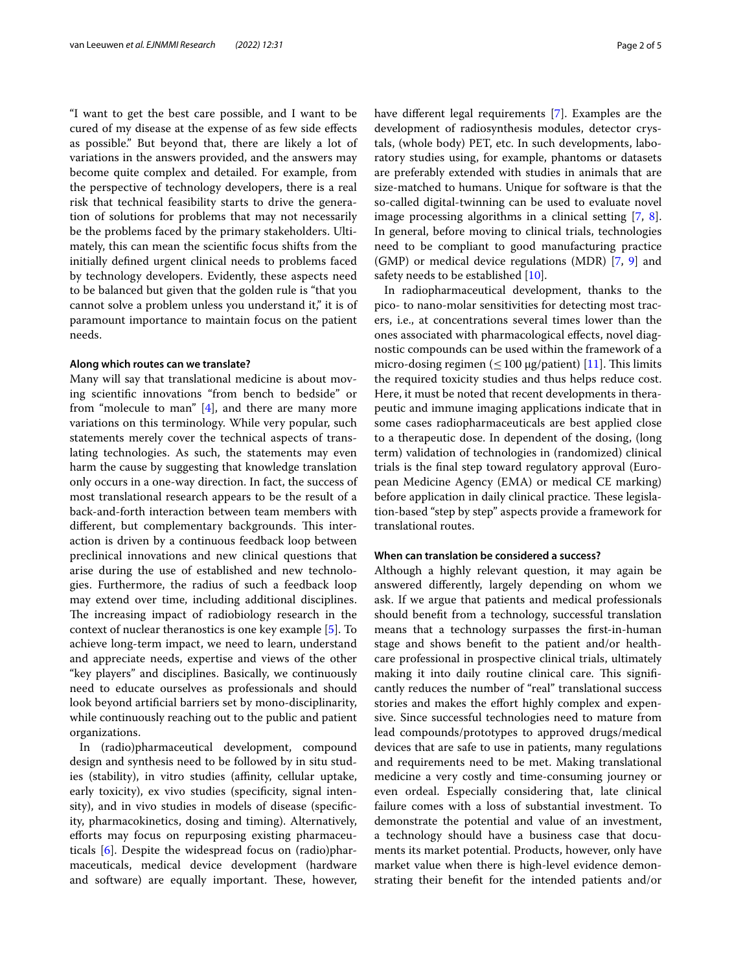"I want to get the best care possible, and I want to be cured of my disease at the expense of as few side efects as possible." But beyond that, there are likely a lot of variations in the answers provided, and the answers may become quite complex and detailed. For example, from the perspective of technology developers, there is a real risk that technical feasibility starts to drive the generation of solutions for problems that may not necessarily be the problems faced by the primary stakeholders. Ultimately, this can mean the scientifc focus shifts from the initially defned urgent clinical needs to problems faced by technology developers. Evidently, these aspects need to be balanced but given that the golden rule is "that you cannot solve a problem unless you understand it," it is of paramount importance to maintain focus on the patient needs.

#### **Along which routes can we translate?**

Many will say that translational medicine is about moving scientifc innovations "from bench to bedside" or from "molecule to man" [[4\]](#page-3-3), and there are many more variations on this terminology. While very popular, such statements merely cover the technical aspects of translating technologies. As such, the statements may even harm the cause by suggesting that knowledge translation only occurs in a one-way direction. In fact, the success of most translational research appears to be the result of a back-and-forth interaction between team members with different, but complementary backgrounds. This interaction is driven by a continuous feedback loop between preclinical innovations and new clinical questions that arise during the use of established and new technologies. Furthermore, the radius of such a feedback loop may extend over time, including additional disciplines. The increasing impact of radiobiology research in the context of nuclear theranostics is one key example [\[5](#page-3-4)]. To achieve long-term impact, we need to learn, understand and appreciate needs, expertise and views of the other "key players" and disciplines. Basically, we continuously need to educate ourselves as professionals and should look beyond artifcial barriers set by mono-disciplinarity, while continuously reaching out to the public and patient organizations.

In (radio)pharmaceutical development, compound design and synthesis need to be followed by in situ studies (stability), in vitro studies (affinity, cellular uptake, early toxicity), ex vivo studies (specifcity, signal intensity), and in vivo studies in models of disease (specifcity, pharmacokinetics, dosing and timing). Alternatively, efforts may focus on repurposing existing pharmaceuticals [[6\]](#page-3-5). Despite the widespread focus on (radio)pharmaceuticals, medical device development (hardware and software) are equally important. These, however, have diferent legal requirements [\[7](#page-3-6)]. Examples are the development of radiosynthesis modules, detector crystals, (whole body) PET, etc. In such developments, laboratory studies using, for example, phantoms or datasets are preferably extended with studies in animals that are size-matched to humans. Unique for software is that the so-called digital-twinning can be used to evaluate novel image processing algorithms in a clinical setting [\[7](#page-3-6), [8](#page-3-7)]. In general, before moving to clinical trials, technologies need to be compliant to good manufacturing practice (GMP) or medical device regulations (MDR) [[7](#page-3-6), [9](#page-3-8)] and safety needs to be established [\[10\]](#page-3-9).

In radiopharmaceutical development, thanks to the pico- to nano-molar sensitivities for detecting most tracers, i.e., at concentrations several times lower than the ones associated with pharmacological efects, novel diagnostic compounds can be used within the framework of a micro-dosing regimen ( $\leq 100 \mu$ g/patient) [[11\]](#page-3-10). This limits the required toxicity studies and thus helps reduce cost. Here, it must be noted that recent developments in therapeutic and immune imaging applications indicate that in some cases radiopharmaceuticals are best applied close to a therapeutic dose. In dependent of the dosing, (long term) validation of technologies in (randomized) clinical trials is the fnal step toward regulatory approval (European Medicine Agency (EMA) or medical CE marking) before application in daily clinical practice. These legislation-based "step by step" aspects provide a framework for translational routes.

### **When can translation be considered a success?**

Although a highly relevant question, it may again be answered diferently, largely depending on whom we ask. If we argue that patients and medical professionals should beneft from a technology, successful translation means that a technology surpasses the frst-in-human stage and shows beneft to the patient and/or healthcare professional in prospective clinical trials, ultimately making it into daily routine clinical care. This significantly reduces the number of "real" translational success stories and makes the effort highly complex and expensive. Since successful technologies need to mature from lead compounds/prototypes to approved drugs/medical devices that are safe to use in patients, many regulations and requirements need to be met. Making translational medicine a very costly and time-consuming journey or even ordeal. Especially considering that, late clinical failure comes with a loss of substantial investment. To demonstrate the potential and value of an investment, a technology should have a business case that documents its market potential. Products, however, only have market value when there is high-level evidence demonstrating their beneft for the intended patients and/or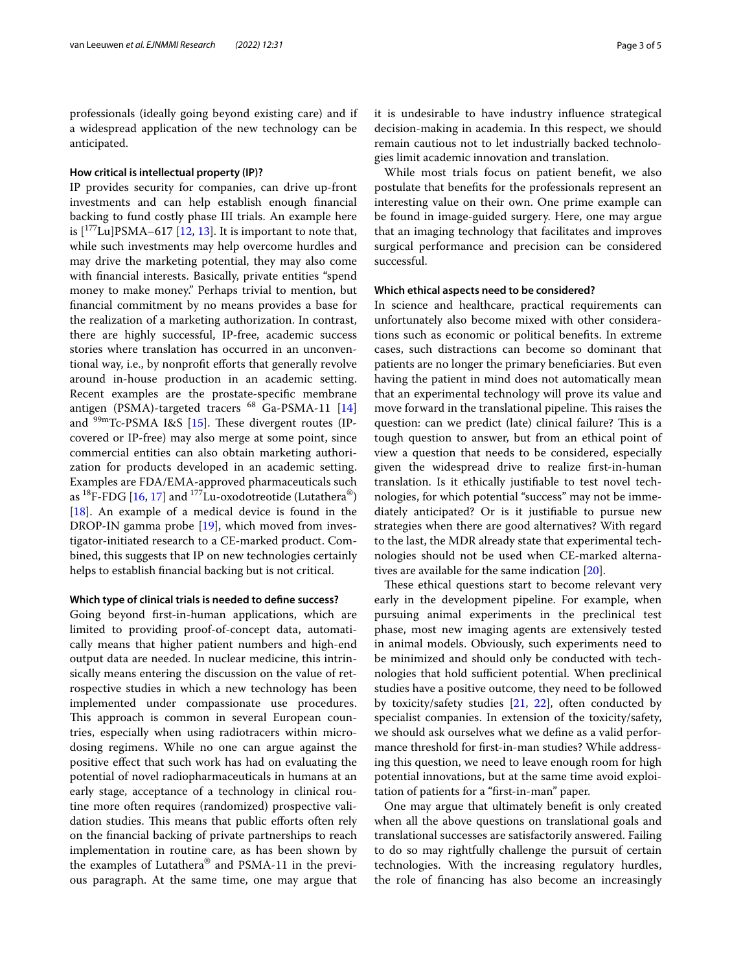professionals (ideally going beyond existing care) and if a widespread application of the new technology can be anticipated.

#### **How critical is intellectual property (IP)?**

IP provides security for companies, can drive up-front investments and can help establish enough fnancial backing to fund costly phase III trials. An example here is  $[$ <sup>177</sup>Lu]PSMA–617 [\[12](#page-3-11), [13\]](#page-3-12). It is important to note that, while such investments may help overcome hurdles and may drive the marketing potential, they may also come with fnancial interests. Basically, private entities "spend money to make money." Perhaps trivial to mention, but fnancial commitment by no means provides a base for the realization of a marketing authorization. In contrast, there are highly successful, IP-free, academic success stories where translation has occurred in an unconventional way, i.e., by nonproft eforts that generally revolve around in-house production in an academic setting. Recent examples are the prostate-specifc membrane antigen (PSMA)-targeted tracers <sup>68</sup> Ga-PSMA-11 [[14](#page-3-13)] and  $99m$ Tc-PSMA I&S [[15\]](#page-3-14). These divergent routes (IPcovered or IP-free) may also merge at some point, since commercial entities can also obtain marketing authorization for products developed in an academic setting. Examples are FDA/EMA-approved pharmaceuticals such as  ${}^{18}$ F-FDG [\[16,](#page-4-0) [17](#page-4-1)] and  ${}^{177}$ Lu-oxodotreotide (Lutathera<sup>®</sup>) [[18\]](#page-4-2). An example of a medical device is found in the DROP-IN gamma probe [[19\]](#page-4-3), which moved from investigator-initiated research to a CE-marked product. Combined, this suggests that IP on new technologies certainly helps to establish fnancial backing but is not critical.

#### **Which type of clinical trials is needed to defne success?**

Going beyond frst-in-human applications, which are limited to providing proof-of-concept data, automatically means that higher patient numbers and high-end output data are needed. In nuclear medicine, this intrinsically means entering the discussion on the value of retrospective studies in which a new technology has been implemented under compassionate use procedures. This approach is common in several European countries, especially when using radiotracers within microdosing regimens. While no one can argue against the positive efect that such work has had on evaluating the potential of novel radiopharmaceuticals in humans at an early stage, acceptance of a technology in clinical routine more often requires (randomized) prospective validation studies. This means that public efforts often rely on the fnancial backing of private partnerships to reach implementation in routine care, as has been shown by the examples of Lutathera® and PSMA-11 in the previous paragraph. At the same time, one may argue that it is undesirable to have industry infuence strategical decision-making in academia. In this respect, we should remain cautious not to let industrially backed technologies limit academic innovation and translation.

While most trials focus on patient beneft, we also postulate that benefts for the professionals represent an interesting value on their own. One prime example can be found in image-guided surgery. Here, one may argue that an imaging technology that facilitates and improves surgical performance and precision can be considered successful.

#### **Which ethical aspects need to be considered?**

In science and healthcare, practical requirements can unfortunately also become mixed with other considerations such as economic or political benefts. In extreme cases, such distractions can become so dominant that patients are no longer the primary benefciaries. But even having the patient in mind does not automatically mean that an experimental technology will prove its value and move forward in the translational pipeline. This raises the question: can we predict (late) clinical failure? This is a tough question to answer, but from an ethical point of view a question that needs to be considered, especially given the widespread drive to realize frst-in-human translation. Is it ethically justifable to test novel technologies, for which potential "success" may not be immediately anticipated? Or is it justifable to pursue new strategies when there are good alternatives? With regard to the last, the MDR already state that experimental technologies should not be used when CE-marked alternatives are available for the same indication [[20\]](#page-4-4).

These ethical questions start to become relevant very early in the development pipeline. For example, when pursuing animal experiments in the preclinical test phase, most new imaging agents are extensively tested in animal models. Obviously, such experiments need to be minimized and should only be conducted with technologies that hold sufficient potential. When preclinical studies have a positive outcome, they need to be followed by toxicity/safety studies [[21,](#page-4-5) [22\]](#page-4-6), often conducted by specialist companies. In extension of the toxicity/safety, we should ask ourselves what we defne as a valid performance threshold for frst-in-man studies? While addressing this question, we need to leave enough room for high potential innovations, but at the same time avoid exploitation of patients for a "frst-in-man" paper.

One may argue that ultimately beneft is only created when all the above questions on translational goals and translational successes are satisfactorily answered. Failing to do so may rightfully challenge the pursuit of certain technologies. With the increasing regulatory hurdles, the role of fnancing has also become an increasingly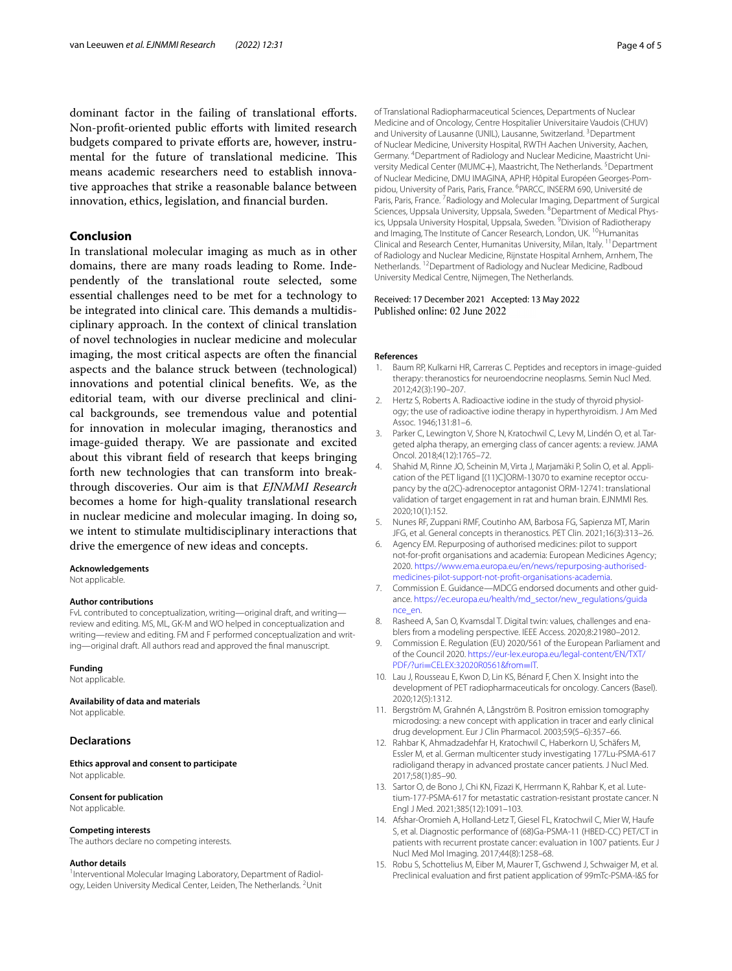dominant factor in the failing of translational efforts. Non-proft-oriented public eforts with limited research budgets compared to private eforts are, however, instrumental for the future of translational medicine. This means academic researchers need to establish innovative approaches that strike a reasonable balance between innovation, ethics, legislation, and fnancial burden.

## **Conclusion**

In translational molecular imaging as much as in other domains, there are many roads leading to Rome. Independently of the translational route selected, some essential challenges need to be met for a technology to be integrated into clinical care. This demands a multidisciplinary approach. In the context of clinical translation of novel technologies in nuclear medicine and molecular imaging, the most critical aspects are often the fnancial aspects and the balance struck between (technological) innovations and potential clinical benefts. We, as the editorial team, with our diverse preclinical and clinical backgrounds, see tremendous value and potential for innovation in molecular imaging, theranostics and image-guided therapy. We are passionate and excited about this vibrant feld of research that keeps bringing forth new technologies that can transform into breakthrough discoveries. Our aim is that *EJNMMI Research* becomes a home for high-quality translational research in nuclear medicine and molecular imaging. In doing so, we intent to stimulate multidisciplinary interactions that drive the emergence of new ideas and concepts.

#### **Acknowledgements**

Not applicable.

#### **Author contributions**

FvL contributed to conceptualization, writing—original draft, and writing review and editing. MS, ML, GK-M and WO helped in conceptualization and writing—review and editing. FM and F performed conceptualization and writing—original draft. All authors read and approved the fnal manuscript.

#### **Funding**

Not applicable.

#### **Availability of data and materials**

Not applicable.

#### **Declarations**

**Ethics approval and consent to participate** Not applicable.

#### **Consent for publication**

Not applicable.

#### **Competing interests**

The authors declare no competing interests.

#### **Author details**

<sup>1</sup>Interventional Molecular Imaging Laboratory, Department of Radiology, Leiden University Medical Center, Leiden, The Netherlands. <sup>2</sup>Unit of Translational Radiopharmaceutical Sciences, Departments of Nuclear Medicine and of Oncology, Centre Hospitalier Universitaire Vaudois (CHUV) and University of Lausanne (UNIL), Lausanne, Switzerland. <sup>3</sup> Department of Nuclear Medicine, University Hospital, RWTH Aachen University, Aachen, Germany. <sup>4</sup> Department of Radiology and Nuclear Medicine, Maastricht University Medical Center (MUMC+), Maastricht, The Netherlands. <sup>5</sup>Department of Nuclear Medicine, DMU IMAGINA, APHP, Hôpital Européen Georges-Pompidou, University of Paris, Paris, France. <sup>6</sup>PARCC, INSERM 690, Université de Paris, Paris, France.<sup>7</sup> Radiology and Molecular Imaging, Department of Surgical Sciences, Uppsala University, Uppsala, Sweden. <sup>8</sup> Department of Medical Physics, Uppsala University Hospital, Uppsala, Sweden. <sup>9</sup> Division of Radiotherapy and Imaging, The Institute of Cancer Research, London, UK. <sup>10</sup>Humanitas Clinical and Research Center, Humanitas University, Milan, Italy. 11Department of Radiology and Nuclear Medicine, Rijnstate Hospital Arnhem, Arnhem, The Netherlands. <sup>12</sup>Department of Radiology and Nuclear Medicine, Radboud University Medical Centre, Nijmegen, The Netherlands.

#### Received: 17 December 2021 Accepted: 13 May 2022 Published online: 02 June 2022

#### **References**

- <span id="page-3-0"></span>1. Baum RP, Kulkarni HR, Carreras C. Peptides and receptors in image-guided therapy: theranostics for neuroendocrine neoplasms. Semin Nucl Med. 2012;42(3):190–207.
- <span id="page-3-1"></span>2. Hertz S, Roberts A. Radioactive iodine in the study of thyroid physiology; the use of radioactive iodine therapy in hyperthyroidism. J Am Med Assoc. 1946;131:81–6.
- <span id="page-3-2"></span>3. Parker C, Lewington V, Shore N, Kratochwil C, Levy M, Lindén O, et al. Targeted alpha therapy, an emerging class of cancer agents: a review. JAMA Oncol. 2018;4(12):1765–72.
- <span id="page-3-3"></span>4. Shahid M, Rinne JO, Scheinin M, Virta J, Marjamäki P, Solin O, et al. Application of the PET ligand [(11)C]ORM-13070 to examine receptor occupancy by the α(2C)-adrenoceptor antagonist ORM-12741: translational validation of target engagement in rat and human brain. EJNMMI Res. 2020;10(1):152.
- <span id="page-3-4"></span>5. Nunes RF, Zuppani RMF, Coutinho AM, Barbosa FG, Sapienza MT, Marin JFG, et al. General concepts in theranostics. PET Clin. 2021;16(3):313–26.
- <span id="page-3-5"></span>6. Agency EM. Repurposing of authorised medicines: pilot to support not-for-proft organisations and academia: European Medicines Agency; 2020. [https://www.ema.europa.eu/en/news/repurposing-authorised](https://www.ema.europa.eu/en/news/repurposing-authorised-medicines-pilot-support-not-profit-organisations-academia) [medicines-pilot-support-not-proft-organisations-academia.](https://www.ema.europa.eu/en/news/repurposing-authorised-medicines-pilot-support-not-profit-organisations-academia)
- <span id="page-3-6"></span>7. Commission E. Guidance-MDCG endorsed documents and other guidance. [https://ec.europa.eu/health/md\\_sector/new\\_regulations/guida](https://ec.europa.eu/health/md_sector/new_regulations/guidance_en) [nce\\_en](https://ec.europa.eu/health/md_sector/new_regulations/guidance_en).
- <span id="page-3-7"></span>8. Rasheed A, San O, Kvamsdal T. Digital twin: values, challenges and enablers from a modeling perspective. IEEE Access. 2020;8:21980–2012.
- <span id="page-3-8"></span>9. Commission E. Regulation (EU) 2020/561 of the European Parliament and of the Council 2020. [https://eur-lex.europa.eu/legal-content/EN/TXT/](https://eur-lex.europa.eu/legal-content/EN/TXT/PDF/?uri=CELEX:32020R0561&from=IT) PDF/?uri=[CELEX:32020R0561&from](https://eur-lex.europa.eu/legal-content/EN/TXT/PDF/?uri=CELEX:32020R0561&from=IT)=IT.
- <span id="page-3-9"></span>10. Lau J, Rousseau E, Kwon D, Lin KS, Bénard F, Chen X. Insight into the development of PET radiopharmaceuticals for oncology. Cancers (Basel). 2020;12(5):1312.
- <span id="page-3-10"></span>11. Bergström M, Grahnén A, Långström B. Positron emission tomography microdosing: a new concept with application in tracer and early clinical drug development. Eur J Clin Pharmacol. 2003;59(5–6):357–66.
- <span id="page-3-11"></span>12. Rahbar K, Ahmadzadehfar H, Kratochwil C, Haberkorn U, Schäfers M, Essler M, et al. German multicenter study investigating 177Lu-PSMA-617 radioligand therapy in advanced prostate cancer patients. J Nucl Med. 2017;58(1):85–90.
- <span id="page-3-12"></span>13. Sartor O, de Bono J, Chi KN, Fizazi K, Herrmann K, Rahbar K, et al. Lutetium-177-PSMA-617 for metastatic castration-resistant prostate cancer. N Engl J Med. 2021;385(12):1091–103.
- <span id="page-3-13"></span>14. Afshar-Oromieh A, Holland-Letz T, Giesel FL, Kratochwil C, Mier W, Haufe S, et al. Diagnostic performance of (68)Ga-PSMA-11 (HBED-CC) PET/CT in patients with recurrent prostate cancer: evaluation in 1007 patients. Eur J Nucl Med Mol Imaging. 2017;44(8):1258–68.
- <span id="page-3-14"></span>15. Robu S, Schottelius M, Eiber M, Maurer T, Gschwend J, Schwaiger M, et al. Preclinical evaluation and frst patient application of 99mTc-PSMA-I&S for